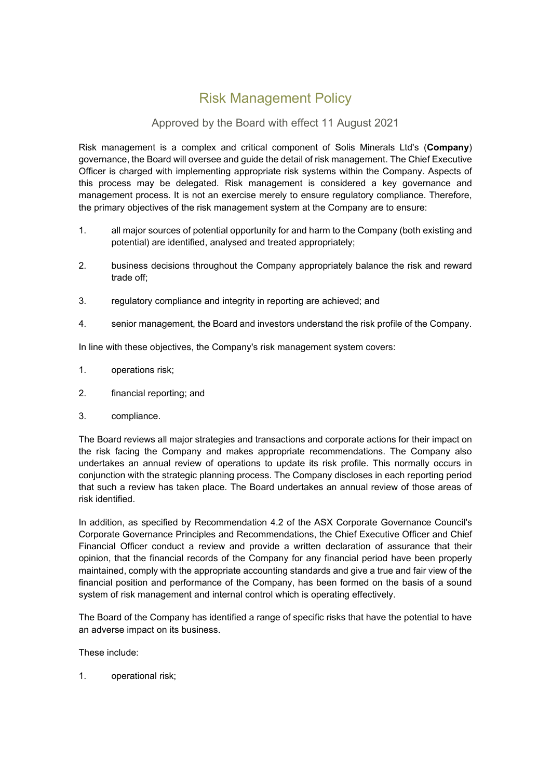## Risk Management Policy

## Approved by the Board with effect 11 August 2021

Risk management is a complex and critical component of Solis Minerals Ltd's (**Company**) governance, the Board will oversee and guide the detail of risk management. The Chief Executive Officer is charged with implementing appropriate risk systems within the Company. Aspects of this process may be delegated. Risk management is considered a key governance and management process. It is not an exercise merely to ensure regulatory compliance. Therefore, the primary objectives of the risk management system at the Company are to ensure:

- 1. all major sources of potential opportunity for and harm to the Company (both existing and potential) are identified, analysed and treated appropriately;
- 2. business decisions throughout the Company appropriately balance the risk and reward trade off;
- 3. regulatory compliance and integrity in reporting are achieved; and
- 4. senior management, the Board and investors understand the risk profile of the Company.

In line with these objectives, the Company's risk management system covers:

- 1. operations risk;
- 2. financial reporting; and
- 3. compliance.

The Board reviews all major strategies and transactions and corporate actions for their impact on the risk facing the Company and makes appropriate recommendations. The Company also undertakes an annual review of operations to update its risk profile. This normally occurs in conjunction with the strategic planning process. The Company discloses in each reporting period that such a review has taken place. The Board undertakes an annual review of those areas of risk identified.

In addition, as specified by Recommendation 4.2 of the ASX Corporate Governance Council's Corporate Governance Principles and Recommendations, the Chief Executive Officer and Chief Financial Officer conduct a review and provide a written declaration of assurance that their opinion, that the financial records of the Company for any financial period have been properly maintained, comply with the appropriate accounting standards and give a true and fair view of the financial position and performance of the Company, has been formed on the basis of a sound system of risk management and internal control which is operating effectively.

The Board of the Company has identified a range of specific risks that have the potential to have an adverse impact on its business.

These include:

1. operational risk;